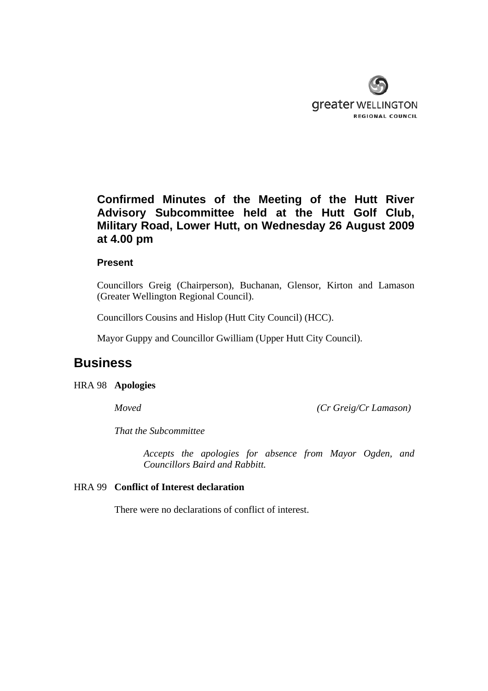

## **Confirmed Minutes of the Meeting of the Hutt River Advisory Subcommittee held at the Hutt Golf Club, Military Road, Lower Hutt, on Wednesday 26 August 2009 at 4.00 pm**

### **Present**

Councillors Greig (Chairperson), Buchanan, Glensor, Kirton and Lamason (Greater Wellington Regional Council).

Councillors Cousins and Hislop (Hutt City Council) (HCC).

Mayor Guppy and Councillor Gwilliam (Upper Hutt City Council).

# **Business**

#### HRA 98 **Apologies**

*Moved (Cr Greig/Cr Lamason)* 

*That the Subcommittee* 

*Accepts the apologies for absence from Mayor Ogden, and Councillors Baird and Rabbitt.* 

### HRA 99 **Conflict of Interest declaration**

There were no declarations of conflict of interest.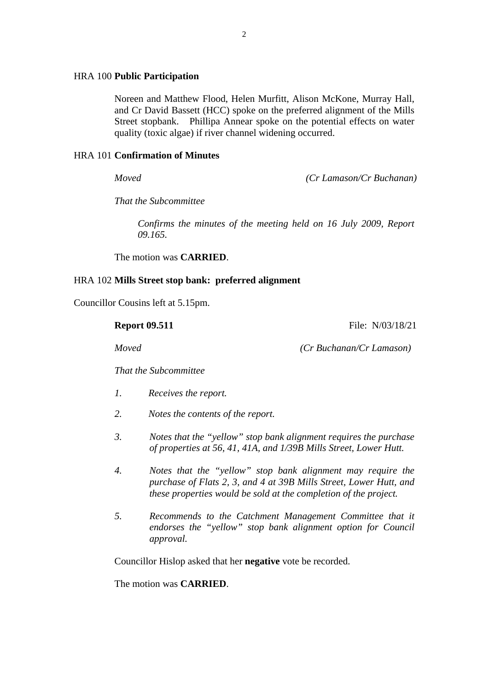#### HRA 100 **Public Participation**

 Noreen and Matthew Flood, Helen Murfitt, Alison McKone, Murray Hall, and Cr David Bassett (HCC) spoke on the preferred alignment of the Mills Street stopbank. Phillipa Annear spoke on the potential effects on water quality (toxic algae) if river channel widening occurred.

### HRA 101 **Confirmation of Minutes**

*Moved (Cr Lamason/Cr Buchanan)*

*That the Subcommittee* 

*Confirms the minutes of the meeting held on 16 July 2009, Report 09.165.* 

The motion was **CARRIED**.

### HRA 102 **Mills Street stop bank: preferred alignment**

Councillor Cousins left at 5.15pm.

**Report 09.511** File: N/03/18/21

*Moved (Cr Buchanan/Cr Lamason)* 

*That the Subcommittee* 

- *1. Receives the report.*
- *2. Notes the contents of the report.*
- *3. Notes that the "yellow" stop bank alignment requires the purchase of properties at 56, 41, 41A, and 1/39B Mills Street, Lower Hutt.*
- *4. Notes that the "yellow" stop bank alignment may require the purchase of Flats 2, 3, and 4 at 39B Mills Street, Lower Hutt, and these properties would be sold at the completion of the project.*
- *5. Recommends to the Catchment Management Committee that it endorses the "yellow" stop bank alignment option for Council approval.*

Councillor Hislop asked that her **negative** vote be recorded.

The motion was **CARRIED**.